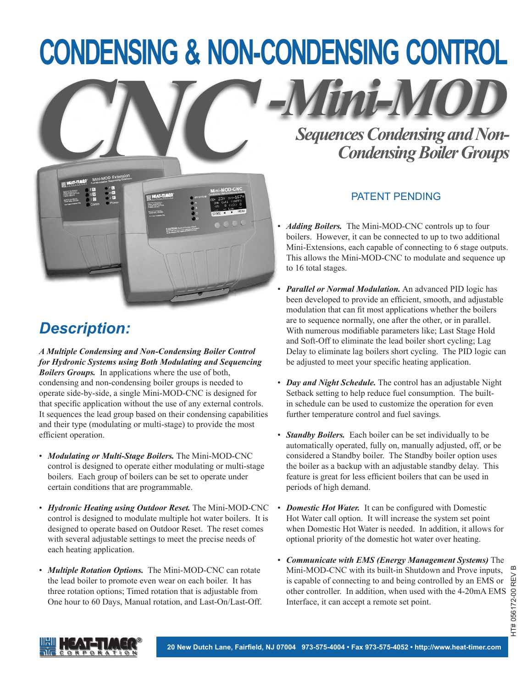# **Condensing & Non-Condensing Control**



#### *Description:*

*A Multiple Condensing and Non-Condensing Boiler Control for Hydronic Systems using Both Modulating and Sequencing Boilers Groups.* In applications where the use of both, condensing and non-condensing boiler groups is needed to operate side-by-side, a single Mini-MOD-CNC is designed for that specific application without the use of any external controls. It sequences the lead group based on their condensing capabilities and their type (modulating or multi-stage) to provide the most efficient operation.

- *Modulating or Multi-Stage Boilers.* The Mini-MOD-CNC control is designed to operate either modulating or multi-stage boilers. Each group of boilers can be set to operate under certain conditions that are programmable.
- *Hydronic Heating using Outdoor Reset.* The Mini-MOD-CNC control is designed to modulate multiple hot water boilers. It is designed to operate based on Outdoor Reset. The reset comes with several adjustable settings to meet the precise needs of each heating application.
- *Multiple Rotation Options.* The Mini-MOD-CNC can rotate the lead boiler to promote even wear on each boiler. It has three rotation options; Timed rotation that is adjustable from One hour to 60 Days, Manual rotation, and Last-On/Last-Off.

*Sequences Condensing and Non-Condensing Boiler Groups*

*-Mini-MOD*

#### PATENT PENDING

- *Adding Boilers.* The Mini-MOD-CNC controls up to four boilers. However, it can be connected to up to two additional Mini-Extensions, each capable of connecting to 6 stage outputs. This allows the Mini-MOD-CNC to modulate and sequence up to 16 total stages.
- *Parallel or Normal Modulation.* An advanced PID logic has been developed to provide an efficient, smooth, and adjustable modulation that can fit most applications whether the boilers are to sequence normally, one after the other, or in parallel. With numerous modifiable parameters like; Last Stage Hold and Soft-Off to eliminate the lead boiler short cycling; Lag Delay to eliminate lag boilers short cycling. The PID logic can be adjusted to meet your specific heating application.
- *Day and Night Schedule.* The control has an adjustable Night Setback setting to help reduce fuel consumption. The builtin schedule can be used to customize the operation for even further temperature control and fuel savings.
- *Standby Boilers.* Each boiler can be set individually to be automatically operated, fully on, manually adjusted, off, or be considered a Standby boiler. The Standby boiler option uses the boiler as a backup with an adjustable standby delay. This feature is great for less efficient boilers that can be used in periods of high demand.
- *Domestic Hot Water.* It can be configured with Domestic Hot Water call option. It will increase the system set point when Domestic Hot Water is needed. In addition, it allows for optional priority of the domestic hot water over heating.
- *Communicate with EMS (Energy Management Systems)* The Mini-MOD-CNC with its built-in Shutdown and Prove inputs, is capable of connecting to and being controlled by an EMS or is capable of connecting to and being controlled by an EMS or  $\frac{dV}{dt}$  other controller. In addition, when used with the 4-20mA EMS  $\frac{dV}{dt}$ <br>Interface, it can accept a remote set point. Interface, it can accept a remote set point.

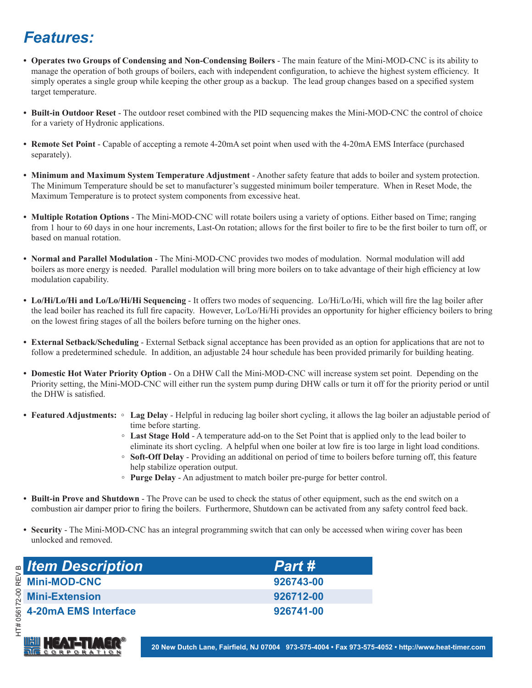#### *Features:*

- **• Operates two Groups of Condensing and Non-Condensing Boilers** The main feature of the Mini-MOD-CNC is its ability to manage the operation of both groups of boilers, each with independent configuration, to achieve the highest system efficiency. It simply operates a single group while keeping the other group as a backup. The lead group changes based on a specified system target temperature.
- **• Built-in Outdoor Reset** The outdoor reset combined with the PID sequencing makes the Mini-MOD-CNC the control of choice for a variety of Hydronic applications.
- **• Remote Set Point** Capable of accepting a remote 4-20mA set point when used with the 4-20mA EMS Interface (purchased separately).
- **• Minimum and Maximum System Temperature Adjustment** Another safety feature that adds to boiler and system protection. The Minimum Temperature should be set to manufacturer's suggested minimum boiler temperature. When in Reset Mode, the Maximum Temperature is to protect system components from excessive heat.
- **• Multiple Rotation Options** The Mini-MOD-CNC will rotate boilers using a variety of options. Either based on Time; ranging from 1 hour to 60 days in one hour increments, Last-On rotation; allows for the first boiler to fire to be the first boiler to turn off, or based on manual rotation.
- **• Normal and Parallel Modulation** The Mini-MOD-CNC provides two modes of modulation. Normal modulation will add boilers as more energy is needed. Parallel modulation will bring more boilers on to take advantage of their high efficiency at low modulation capability.
- **• Lo/Hi/Lo/Hi and Lo/Lo/Hi/Hi Sequencing** It offers two modes of sequencing. Lo/Hi/Lo/Hi, which will fire the lag boiler after the lead boiler has reached its full fire capacity. However, Lo/Lo/Hi/Hi provides an opportunity for higher efficiency boilers to bring on the lowest firing stages of all the boilers before turning on the higher ones.
- **External Setback/Scheduling** External Setback signal acceptance has been provided as an option for applications that are not to follow a predetermined schedule. In addition, an adjustable 24 hour schedule has been provided primarily for building heating.
- **• Domestic Hot Water Priority Option** On a DHW Call the Mini-MOD-CNC will increase system set point. Depending on the Priority setting, the Mini-MOD-CNC will either run the system pump during DHW calls or turn it off for the priority period or until the DHW is satisfied.
- **• Featured Adjustments: ◦ Lag Delay** Helpful in reducing lag boiler short cycling, it allows the lag boiler an adjustable period of time before starting.
	- **◦ Last Stage Hold** A temperature add-on to the Set Point that is applied only to the lead boiler to eliminate its short cycling. A helpful when one boiler at low fire is too large in light load conditions.
	- **Soft-Off Delay** Providing an additional on period of time to boilers before turning off, this feature help stabilize operation output.
	- **Purge Delay** An adjustment to match boiler pre-purge for better control.
- **• Built-in Prove and Shutdown** The Prove can be used to check the status of other equipment, such as the end switch on a combustion air damper prior to firing the boilers. Furthermore, Shutdown can be activated from any safety control feed back.
- **Security** The Mini-MOD-CNC has an integral programming switch that can only be accessed when wiring cover has been unlocked and removed.

| <b>Item Description</b>            | <b>Part #</b> |
|------------------------------------|---------------|
| <b>Mini-MOD-CNC</b>                | 926743-00     |
| <b>Mini-Extension</b>              | 926712-00     |
| $\frac{1}{2}$ 4-20mA EMS Interface | 926741-00     |

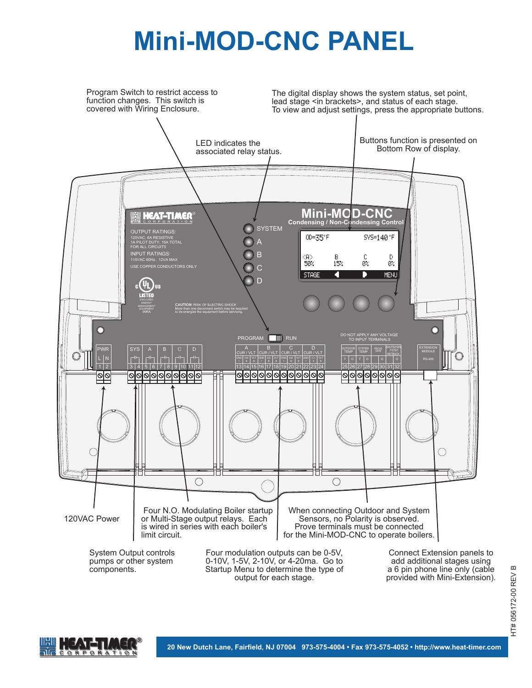## **Mini-MOD-CNC PANEL**